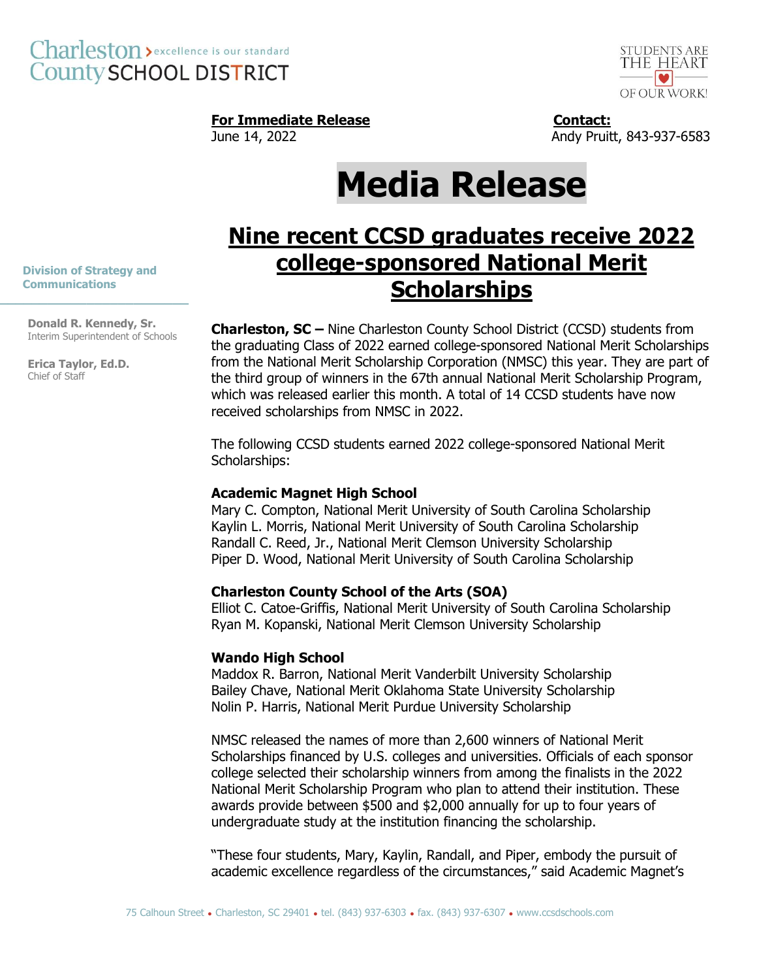

## **For Immediate Release Contact:**

June 14, 2022 **Andy Pruitt, 843-937-6583** 

# **Media Release**

# **Nine recent CCSD graduates receive 2022 college-sponsored National Merit Scholarships**

 **Division of Strategy and Communications \_\_\_\_\_\_\_\_\_\_\_\_\_\_\_\_\_\_\_\_\_\_\_\_**

> **Donald R. Kennedy, Sr.** Interim Superintendent of Schools

**Erica Taylor, Ed.D.** Chief of Staff

**Charleston, SC –** Nine Charleston County School District (CCSD) students from the graduating Class of 2022 earned college-sponsored National Merit Scholarships from the National Merit Scholarship Corporation (NMSC) this year. They are part of the third group of winners in the 67th annual National Merit Scholarship Program, which was released earlier this month. A total of 14 CCSD students have now received scholarships from NMSC in 2022.

The following CCSD students earned 2022 college-sponsored National Merit Scholarships:

#### **Academic Magnet High School**

Mary C. Compton, National Merit University of South Carolina Scholarship Kaylin L. Morris, National Merit University of South Carolina Scholarship Randall C. Reed, Jr., National Merit Clemson University Scholarship Piper D. Wood, National Merit University of South Carolina Scholarship

### **Charleston County School of the Arts (SOA)**

Elliot C. Catoe-Griffis, National Merit University of South Carolina Scholarship Ryan M. Kopanski, National Merit Clemson University Scholarship

#### **Wando High School**

Maddox R. Barron, National Merit Vanderbilt University Scholarship Bailey Chave, National Merit Oklahoma State University Scholarship Nolin P. Harris, National Merit Purdue University Scholarship

NMSC released the names of more than 2,600 winners of National Merit Scholarships financed by U.S. colleges and universities. Officials of each sponsor college selected their scholarship winners from among the finalists in the 2022 National Merit Scholarship Program who plan to attend their institution. These awards provide between \$500 and \$2,000 annually for up to four years of undergraduate study at the institution financing the scholarship.

"These four students, Mary, Kaylin, Randall, and Piper, embody the pursuit of academic excellence regardless of the circumstances," said Academic Magnet's